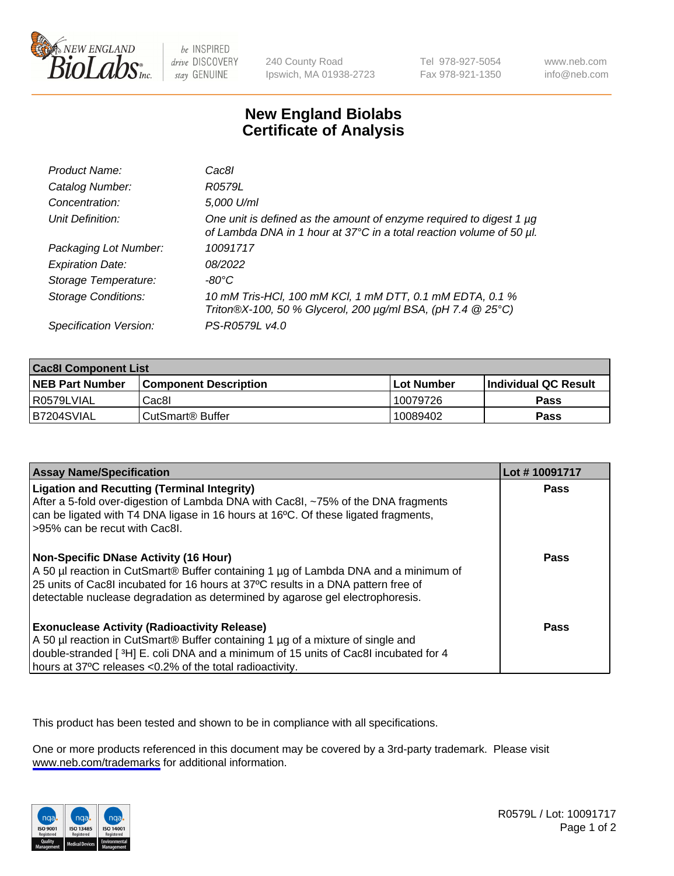

be INSPIRED drive DISCOVERY stay GENUINE

240 County Road Ipswich, MA 01938-2723 Tel 978-927-5054 Fax 978-921-1350

www.neb.com info@neb.com

## **New England Biolabs Certificate of Analysis**

| Product Name:              | Cac8I                                                                                                                                       |
|----------------------------|---------------------------------------------------------------------------------------------------------------------------------------------|
| Catalog Number:            | R0579L                                                                                                                                      |
| Concentration:             | 5,000 U/ml                                                                                                                                  |
| Unit Definition:           | One unit is defined as the amount of enzyme required to digest 1 µg<br>of Lambda DNA in 1 hour at 37°C in a total reaction volume of 50 µl. |
| Packaging Lot Number:      | 10091717                                                                                                                                    |
| <b>Expiration Date:</b>    | 08/2022                                                                                                                                     |
| Storage Temperature:       | $-80^{\circ}$ C                                                                                                                             |
| <b>Storage Conditions:</b> | 10 mM Tris-HCl, 100 mM KCl, 1 mM DTT, 0.1 mM EDTA, 0.1 %<br>Triton®X-100, 50 % Glycerol, 200 µg/ml BSA, (pH 7.4 @ 25°C)                     |
| Specification Version:     | PS-R0579L v4.0                                                                                                                              |

| <b>Cac8I Component List</b> |                              |              |                             |  |
|-----------------------------|------------------------------|--------------|-----------------------------|--|
| <b>NEB Part Number</b>      | <b>Component Description</b> | l Lot Number | <b>Individual QC Result</b> |  |
| R0579LVIAL                  | Cac8I                        | 10079726     | Pass                        |  |
| B7204SVIAL                  | CutSmart <sup>®</sup> Buffer | 10089402     | Pass                        |  |

| <b>Assay Name/Specification</b>                                                                                                                                                                                                                                                                    | Lot #10091717 |
|----------------------------------------------------------------------------------------------------------------------------------------------------------------------------------------------------------------------------------------------------------------------------------------------------|---------------|
| <b>Ligation and Recutting (Terminal Integrity)</b><br>After a 5-fold over-digestion of Lambda DNA with Cac8I, ~75% of the DNA fragments<br>can be ligated with T4 DNA ligase in 16 hours at 16 <sup>o</sup> C. Of these ligated fragments,<br>-95% can be recut with Cac8l.                        | Pass          |
| Non-Specific DNase Activity (16 Hour)<br>A 50 µl reaction in CutSmart® Buffer containing 1 µg of Lambda DNA and a minimum of<br>25 units of Cac8I incubated for 16 hours at 37°C results in a DNA pattern free of<br>detectable nuclease degradation as determined by agarose gel electrophoresis. | Pass          |
| <b>Exonuclease Activity (Radioactivity Release)</b><br>A 50 µl reaction in CutSmart® Buffer containing 1 µg of a mixture of single and<br>double-stranded [3H] E. coli DNA and a minimum of 15 units of Cac8l incubated for 4<br>hours at 37°C releases <0.2% of the total radioactivity.          | <b>Pass</b>   |

This product has been tested and shown to be in compliance with all specifications.

One or more products referenced in this document may be covered by a 3rd-party trademark. Please visit <www.neb.com/trademarks>for additional information.